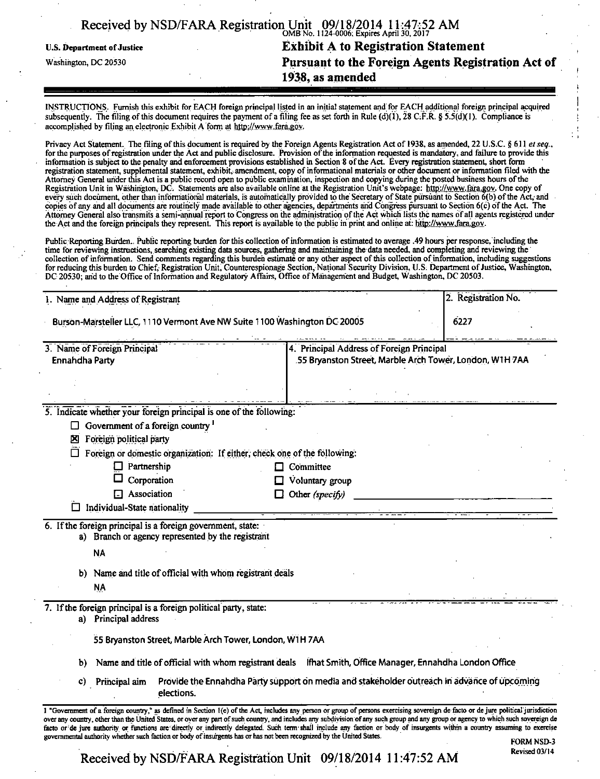|                            | Received by NSD/FARA Registration Unit $09/18/2014$ 11:47:52 AM |
|----------------------------|-----------------------------------------------------------------|
| U.S. Department of Justice | <b>Exhibit A to Registration Statement</b>                      |
| Washington, DC 20530       | Pursuant to the Foreign Agents Registration Act of              |
|                            | 1938, as amended                                                |
|                            |                                                                 |

INSTRUCTIONS. Furnish this exhibit for EACH foreign principal listed in an initial statement and for EACH additional foreign principal acquired subsequently. The filing of this document requires the payment of a filing fee as set forth in Rule (d)(1), 28 C;F.R. § 5.5(d)(1). Compliance is accomplished by filing an electronic Exhibit  $\overline{A}$  form at http://www.fara.gov.

Privacy Act Statement. The filing of this document is required by the Foreign Agents Registration Act of 1938, as amended, 22 U.S.C. § 611 et seq., for the purposes of registration under the Act and public disclosure. Provision of the information requested is mandatory, and failure to provide this information is subject to the penalty and enforcement provisions established in Section 8 of the Act. Every registration statement, short form registration statement, supplemental statement, exhibit, amendment, copy of informational materials or other document or information filed with the Attorney General under this Act is a public record open to public examination, inspection and copying during the posted business hours of the Registration Unit in Washington, DC. Statements are also available online at the Registration Unit's webpage: http://www.fara.gov. One copy of<br>every such document, other than informational materials, is automatically provi copies of any and all documents are routinely made available to other agencies, departments and Congress pursuant to Section 6(c) of the Act The Attorney General also transmits a semi-annual report to Congress on the ac^inistration of the Act which lists the names of all agents registered under the Act and the foreign principals they represent. This report is available to the public in print and online at: http://www.fara.gov.

Public Reporting Burden. Public reporting burden for this collection of information is estimated to average .49 hours per response, including the time for reviewing instructions, searching existing data sources, gathering and maintaining the data needed, and completing and reviewing the collection of information. Send comments regarding this burden estimate or any other aspect of this collection of information, including suggestions for reducing this burden to Chief, Registration Unit, Counterespionage Section, National Security Division, U.S; Department of Justice, Washington, DC 20530; and to the Office of Information and Regulatory Affairs, Office of Management and Budget, Washington, DC 20503.

| 1. Name and Address of Registrant                                                        | 2. Registration No.                                                                                        |                                                                                                      |  |
|------------------------------------------------------------------------------------------|------------------------------------------------------------------------------------------------------------|------------------------------------------------------------------------------------------------------|--|
| 6227<br>Burson-Marsteller LLC, 1110 Vermont Ave NW Suite 1100 Washington DC 20005        |                                                                                                            |                                                                                                      |  |
| 3. Name of Foreign Principal<br><b>Ennahdha Party</b>                                    |                                                                                                            | 4. Principal Address of Foreign Principal<br>55 Bryanston Street, Marble Arch Tower, London, W1H 7AA |  |
|                                                                                          |                                                                                                            |                                                                                                      |  |
| 5. Indicate whether your foreign principal is one of the following:                      |                                                                                                            |                                                                                                      |  |
| Government of a foreign country <sup>1</sup><br>⊔                                        |                                                                                                            |                                                                                                      |  |
| Foreign political party<br>囟                                                             |                                                                                                            |                                                                                                      |  |
| П                                                                                        | Foreign or domestic organization: If either, check one of the following:                                   |                                                                                                      |  |
| Partnership<br>0                                                                         | Committee                                                                                                  |                                                                                                      |  |
| Corporation                                                                              | Voluntary group                                                                                            |                                                                                                      |  |
| $\Box$ Association                                                                       | Other (specify)<br>U                                                                                       |                                                                                                      |  |
| Individual-State nationality                                                             |                                                                                                            |                                                                                                      |  |
| 6. If the foreign principal is a foreign government, state:                              |                                                                                                            |                                                                                                      |  |
| a) Branch or agency represented by the registrant                                        |                                                                                                            |                                                                                                      |  |
| <b>NA</b>                                                                                |                                                                                                            |                                                                                                      |  |
| Name and title of official with whom registrant deals<br>b).                             |                                                                                                            |                                                                                                      |  |
| <b>NA</b>                                                                                |                                                                                                            |                                                                                                      |  |
|                                                                                          |                                                                                                            |                                                                                                      |  |
| 7. If the foreign principal is a foreign political party, state:<br>a) Principal address |                                                                                                            |                                                                                                      |  |
|                                                                                          | 55 Bryanston Street, Marble Arch Tower, London, WTH 7AA                                                    |                                                                                                      |  |
| b)                                                                                       | Name and title of official with whom registrant deals lifhat Smith, Office Manager, Ennahdha London Office |                                                                                                      |  |
| Principal aim<br>C)                                                                      | Provide the Ennahdha Party support on media and stakeholder outreach in advance of upcoming                |                                                                                                      |  |

facto or de jure authority or functions are directly or indirectly delegated. Such term shall include any faction or body of insurgents within a country assuming to exercise governmental authority whether such faction or body of insurgents has or has not been recognized by the United States. FORM NSD-3

Received by NSD/FARA Registration Unit 09/18/2014 11:47:52 AM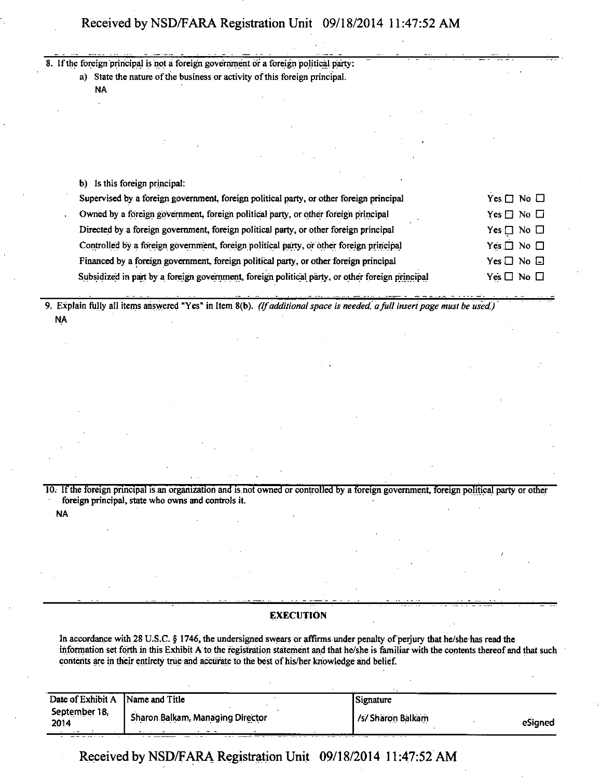# **Received by NSD/FARA Registration Unit 09/18/2014 11:47:52 AM**

|  | 8. If the foreign principal is not a foreign government or a foreign political party:                           |
|--|-----------------------------------------------------------------------------------------------------------------|
|  | a) State the nature of the business or activity of this foreign principal.                                      |
|  | NA.                                                                                                             |
|  |                                                                                                                 |
|  |                                                                                                                 |
|  |                                                                                                                 |
|  |                                                                                                                 |
|  |                                                                                                                 |
|  |                                                                                                                 |
|  | b) Is this foreign principal:                                                                                   |
|  | $Yes \Box No \Box$<br>Supervised by a foreign government, foreign political party, or other foreign principal   |
|  | Owned by a föreign gövernment, foreign political party, or other foreign principal<br>Yes $\Box$ No $\Box$      |
|  | Directed by a foreign government, foreign political party, or other foreign principal<br>Yes $\Box$ No $\Box$   |
|  | Controlled by a foreign government, foreign political party, or other foreign principal<br>Yes $\Box$ No $\Box$ |
|  | Financed by a foreign government, foreign political party, or other foreign principal<br>$Yes \Box No \Box$     |

 $Ye\overline{s} \Box$  No  $\Box$ 

**9. Explain fully all items answered "Yes" in Item 8(b). (If additional space is needed a full insert page must be used.) NA** 

Subsidized in part by a foreign government, foreign political party, or other foreign principal

10. If the foreign principal is an organization and is not owned or controlled by a foreign government, foreign political party or other foreign principal, state who owns and controls it.

NA

## **EXECUTION**

In accordance with 28 U.S.C. § 1746, the undersigned swears or affirms under penalty of perjury that he/she has read the information set forth in this Exhibit A to the registration statement and that he/she is familiar with the contents thereof and that such contents are in their entirety true and accurate to the best of his/her knowledge and belief.

| Date of Exhibit A Name and Title              |                                         | Signature         |         |
|-----------------------------------------------|-----------------------------------------|-------------------|---------|
| September 18,<br>2014<br>- -<br>$\sim$ $\sim$ | <b>Sharon Balkam, Managing Director</b> | /s/ Sharon Balkam | eSigned |

**Received by NSD/FARA Registration Unit 09/18/2014 11:47:52 AM**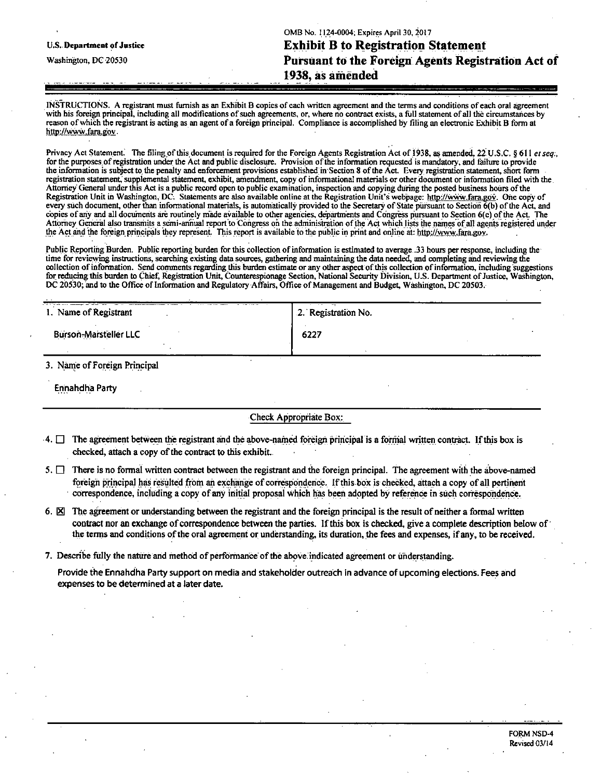|                            | OMB No. 1124-0004; Expires April 30, 2017          |  |
|----------------------------|----------------------------------------------------|--|
| U.S. Department of Justice | <b>Exhibit B to Registration Statement</b>         |  |
| Washington, DC 20530       | Pursuant to the Foreign Agents Registration Act of |  |
|                            | 1938, as amended                                   |  |
|                            |                                                    |  |

INSTRUCTIONS. A registrant must furnish as an Exhibit B copies of each written agreement and the terms and conditions of each oral agreement with his foreign principal, including all modifications of such agreements, or, where ho contract exists, a full statement of all the circumstances by reason of which the registrant is acting as an agent of a foreign principal. Compliance is accomplished by filing an electronic Exhibit B form at http://www.fara.gov.

Privacy Act Statement. The filing of this document is required for the Foreign Agents Registration Act of 1938, as amended, 22 U.S.C. § 611 et seq., for the purposes, of registration under the Act and public disclosure. Provision of the information requested is mandatory, and failure to provide the information is subject to the penalty and enforcement provisions established in Section 8 of the Act. Every registration statement, short form registration statement, supplemental statement, exhibit, amendment, copy of informational materials or other document or information filed with the. Attorney General under this Act is a public record open to public examination, inspection and copying during the posted business hours of the Registration Unit in Washington, DC. Statements are also available online at the Registration Unit's webpage: http://www.fara.gov. One copy of every such document, other than informational materials, is automatically provided to the Secretary of State pursuant to Section 6(b) of the Act, and copies of any and all documents are routinely made available to other agencies, departments and Congress pursuant to Section 6(c) of the Act. The Attorney General also transmits a semi-annual report to Congress on the administration of the Act which lists the names of all agents registered under the Act and the foreign principals they represent. This report is available to the public in print and online at: http://www.fara.gov.

Public Reporting Burden. Public reporting burden for this collection of information is estimated to average .33 hours per response, including the time for reviewing instructions, searching existing data sources, garnering and maintaining the data needed, and completing and reviewing the collection of information. Send comments regarding this burden estimate or any other aspect of this collection of information, including suggestions for reducing this burden to Chief, Registration Unit, Counterespionage Section, National Security Division, U.S. Department of Justice, Washington, DC 20530; and to the Office of Information and Regulatory Affairs, Office of Management and Budget, Washington, DC 20503.

| 1. Name of Registrant        | 2. Registration No. |  |  |
|------------------------------|---------------------|--|--|
| <b>Burson-Marsteller LLC</b> | 6227                |  |  |
| 3. Name of Foreign Principal |                     |  |  |

Ennahdha Party

### Check Appropriate Box:

- 4.  $\Box$  The agreement between the registrant and the above-named foreign principal is a formal written contract. If this box is checked, attach a copy of the contract to this exhibit.
- 5.  $\Box$  There is no formal written contract between the registrant and the foreign principal. The agreement with the above-named foreign principal has resulted from an exchange of correspondence. If this box is checked, attach a copy of all pertinent correspondence, including a copy of any initial proposal which has been adopted by reference in such correspondence.
- 6.  $\boxtimes$  The agreement or understanding between the registrant and the foreign principal is the result of neither a formal written contract nor an exchange of correspondence between the parties. If this box is checked, give a complete description below of the terms and conditions of the oral agreement or understanding, its duration, the fees and expenses, if any, to be received.

#### 7. Describe fully the nature and method of performance of the above indicated agreement or understanding.

Provide the Ennahdha Party support on media and stakeholder outreach in advance of upcoming elections. Fees and expenses to be determined at a later date.